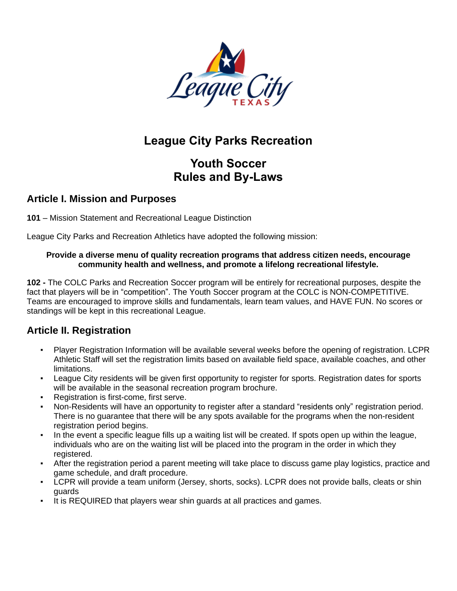

# **League City Parks Recreation**

# **Youth Soccer Rules and By-Laws**

#### **Article I. Mission and Purposes**

**101** – Mission Statement and Recreational League Distinction

League City Parks and Recreation Athletics have adopted the following mission:

#### **Provide a diverse menu of quality recreation programs that address citizen needs, encourage community health and wellness, and promote a lifelong recreational lifestyle.**

**102 -** The COLC Parks and Recreation Soccer program will be entirely for recreational purposes, despite the fact that players will be in "competition". The Youth Soccer program at the COLC is NON-COMPETITIVE. Teams are encouraged to improve skills and fundamentals, learn team values, and HAVE FUN. No scores or standings will be kept in this recreational League.

#### **Article II. Registration**

- Player Registration Information will be available several weeks before the opening of registration. LCPR Athletic Staff will set the registration limits based on available field space, available coaches, and other limitations.
- League City residents will be given first opportunity to register for sports. Registration dates for sports will be available in the seasonal recreation program brochure.
- Registration is first-come, first serve.
- Non-Residents will have an opportunity to register after a standard "residents only" registration period. There is no guarantee that there will be any spots available for the programs when the non-resident registration period begins.
- In the event a specific league fills up a waiting list will be created. If spots open up within the league, individuals who are on the waiting list will be placed into the program in the order in which they registered.
- After the registration period a parent meeting will take place to discuss game play logistics, practice and game schedule, and draft procedure.
- LCPR will provide a team uniform (Jersey, shorts, socks). LCPR does not provide balls, cleats or shin guards
- It is REQUIRED that players wear shin guards at all practices and games.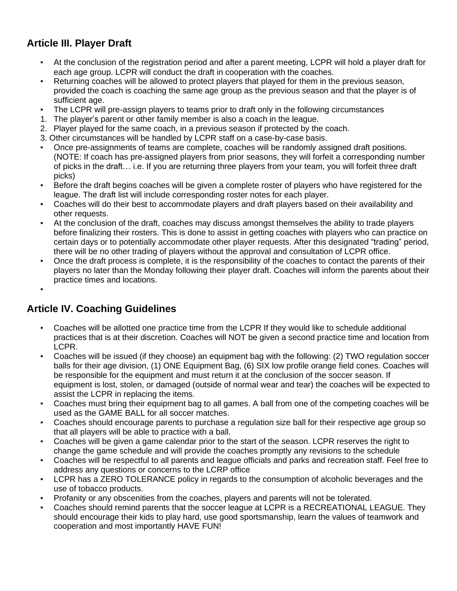#### **Article III. Player Draft**

- At the conclusion of the registration period and after a parent meeting, LCPR will hold a player draft for each age group. LCPR will conduct the draft in cooperation with the coaches.
- Returning coaches will be allowed to protect players that played for them in the previous season, provided the coach is coaching the same age group as the previous season and that the player is of sufficient age.
- The LCPR will pre-assign players to teams prior to draft only in the following circumstances
- 1. The player's parent or other family member is also a coach in the league.
- 2. Player played for the same coach, in a previous season if protected by the coach.
- 3. Other circumstances will be handled by LCPR staff on a case-by-case basis.
- Once pre-assignments of teams are complete, coaches will be randomly assigned draft positions. (NOTE: If coach has pre-assigned players from prior seasons, they will forfeit a corresponding number of picks in the draft… i.e. If you are returning three players from your team, you will forfeit three draft picks)
- Before the draft begins coaches will be given a complete roster of players who have registered for the league. The draft list will include corresponding roster notes for each player.
- Coaches will do their best to accommodate players and draft players based on their availability and other requests.
- At the conclusion of the draft, coaches may discuss amongst themselves the ability to trade players before finalizing their rosters. This is done to assist in getting coaches with players who can practice on certain days or to potentially accommodate other player requests. After this designated "trading" period, there will be no other trading of players without the approval and consultation of LCPR office.
- Once the draft process is complete, it is the responsibility of the coaches to contact the parents of their players no later than the Monday following their player draft. Coaches will inform the parents about their practice times and locations.
- ▪

## **Article IV. Coaching Guidelines**

- Coaches will be allotted one practice time from the LCPR If they would like to schedule additional practices that is at their discretion. Coaches will NOT be given a second practice time and location from LCPR.
- Coaches will be issued (if they choose) an equipment bag with the following: (2) TWO regulation soccer balls for their age division, (1) ONE Equipment Bag, (6) SIX low profile orange field cones. Coaches will be responsible for the equipment and must return it at the conclusion of the soccer season. If equipment is lost, stolen, or damaged (outside of normal wear and tear) the coaches will be expected to assist the LCPR in replacing the items.
- Coaches must bring their equipment bag to all games. A ball from one of the competing coaches will be used as the GAME BALL for all soccer matches.
- Coaches should encourage parents to purchase a regulation size ball for their respective age group so that all players will be able to practice with a ball.
- Coaches will be given a game calendar prior to the start of the season. LCPR reserves the right to change the game schedule and will provide the coaches promptly any revisions to the schedule
- Coaches will be respectful to all parents and league officials and parks and recreation staff. Feel free to address any questions or concerns to the LCRP office
- LCPR has a ZERO TOLERANCE policy in regards to the consumption of alcoholic beverages and the use of tobacco products.
- Profanity or any obscenities from the coaches, players and parents will not be tolerated.
- Coaches should remind parents that the soccer league at LCPR is a RECREATIONAL LEAGUE. They should encourage their kids to play hard, use good sportsmanship, learn the values of teamwork and cooperation and most importantly HAVE FUN!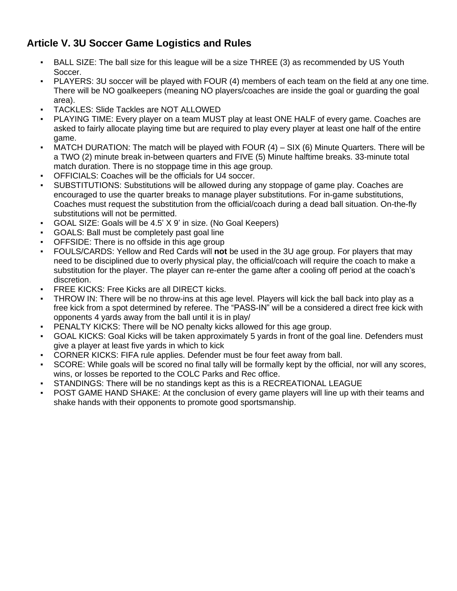## **Article V. 3U Soccer Game Logistics and Rules**

- BALL SIZE: The ball size for this league will be a size THREE (3) as recommended by US Youth Soccer.
- PLAYERS: 3U soccer will be played with FOUR (4) members of each team on the field at any one time. There will be NO goalkeepers (meaning NO players/coaches are inside the goal or guarding the goal area).
- TACKLES: Slide Tackles are NOT ALLOWED
- PLAYING TIME: Every player on a team MUST play at least ONE HALF of every game. Coaches are asked to fairly allocate playing time but are required to play every player at least one half of the entire game.
- MATCH DURATION: The match will be played with FOUR  $(4)$  SIX  $(6)$  Minute Quarters. There will be a TWO (2) minute break in-between quarters and FIVE (5) Minute halftime breaks. 33-minute total match duration. There is no stoppage time in this age group.
- OFFICIALS: Coaches will be the officials for U4 soccer.
- SUBSTITUTIONS: Substitutions will be allowed during any stoppage of game play. Coaches are encouraged to use the quarter breaks to manage player substitutions. For in-game substitutions, Coaches must request the substitution from the official/coach during a dead ball situation. On-the-fly substitutions will not be permitted.
- GOAL SIZE: Goals will be 4.5' X 9' in size. (No Goal Keepers)
- GOALS: Ball must be completely past goal line
- OFFSIDE: There is no offside in this age group
- FOULS/CARDS: Yellow and Red Cards will **not** be used in the 3U age group. For players that may need to be disciplined due to overly physical play, the official/coach will require the coach to make a substitution for the player. The player can re-enter the game after a cooling off period at the coach's discretion.
- FREE KICKS: Free Kicks are all DIRECT kicks.
- THROW IN: There will be no throw-ins at this age level. Players will kick the ball back into play as a free kick from a spot determined by referee. The "PASS-IN" will be a considered a direct free kick with opponents 4 yards away from the ball until it is in play/
- PENALTY KICKS: There will be NO penalty kicks allowed for this age group.
- GOAL KICKS: Goal Kicks will be taken approximately 5 yards in front of the goal line. Defenders must give a player at least five yards in which to kick
- CORNER KICKS: FIFA rule applies. Defender must be four feet away from ball.
- SCORE: While goals will be scored no final tally will be formally kept by the official, nor will any scores, wins, or losses be reported to the COLC Parks and Rec office.
- STANDINGS: There will be no standings kept as this is a RECREATIONAL LEAGUE
- POST GAME HAND SHAKE: At the conclusion of every game players will line up with their teams and shake hands with their opponents to promote good sportsmanship.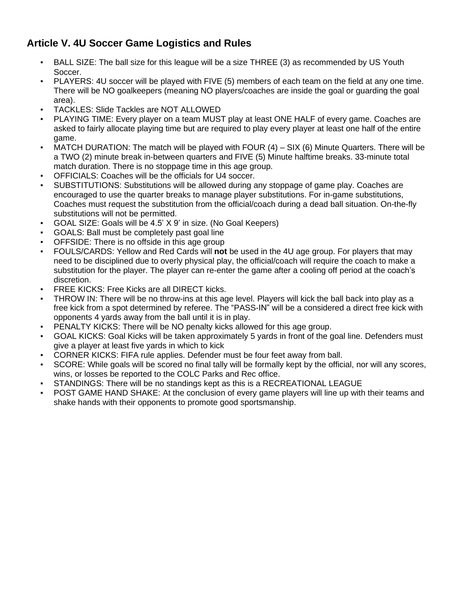## **Article V. 4U Soccer Game Logistics and Rules**

- BALL SIZE: The ball size for this league will be a size THREE (3) as recommended by US Youth Soccer.
- PLAYERS: 4U soccer will be played with FIVE (5) members of each team on the field at any one time. There will be NO goalkeepers (meaning NO players/coaches are inside the goal or guarding the goal area).
- TACKLES: Slide Tackles are NOT ALLOWED
- PLAYING TIME: Every player on a team MUST play at least ONE HALF of every game. Coaches are asked to fairly allocate playing time but are required to play every player at least one half of the entire game.
- MATCH DURATION: The match will be played with FOUR  $(4)$  SIX  $(6)$  Minute Quarters. There will be a TWO (2) minute break in-between quarters and FIVE (5) Minute halftime breaks. 33-minute total match duration. There is no stoppage time in this age group.
- OFFICIALS: Coaches will be the officials for U4 soccer.
- SUBSTITUTIONS: Substitutions will be allowed during any stoppage of game play. Coaches are encouraged to use the quarter breaks to manage player substitutions. For in-game substitutions, Coaches must request the substitution from the official/coach during a dead ball situation. On-the-fly substitutions will not be permitted.
- GOAL SIZE: Goals will be 4.5' X 9' in size. (No Goal Keepers)
- GOALS: Ball must be completely past goal line
- OFFSIDE: There is no offside in this age group
- FOULS/CARDS: Yellow and Red Cards will **not** be used in the 4U age group. For players that may need to be disciplined due to overly physical play, the official/coach will require the coach to make a substitution for the player. The player can re-enter the game after a cooling off period at the coach's discretion.
- FREE KICKS: Free Kicks are all DIRECT kicks.
- THROW IN: There will be no throw-ins at this age level. Players will kick the ball back into play as a free kick from a spot determined by referee. The "PASS-IN" will be a considered a direct free kick with opponents 4 yards away from the ball until it is in play.
- PENALTY KICKS: There will be NO penalty kicks allowed for this age group.
- GOAL KICKS: Goal Kicks will be taken approximately 5 yards in front of the goal line. Defenders must give a player at least five yards in which to kick
- CORNER KICKS: FIFA rule applies. Defender must be four feet away from ball.
- SCORE: While goals will be scored no final tally will be formally kept by the official, nor will any scores, wins, or losses be reported to the COLC Parks and Rec office.
- STANDINGS: There will be no standings kept as this is a RECREATIONAL LEAGUE
- POST GAME HAND SHAKE: At the conclusion of every game players will line up with their teams and shake hands with their opponents to promote good sportsmanship.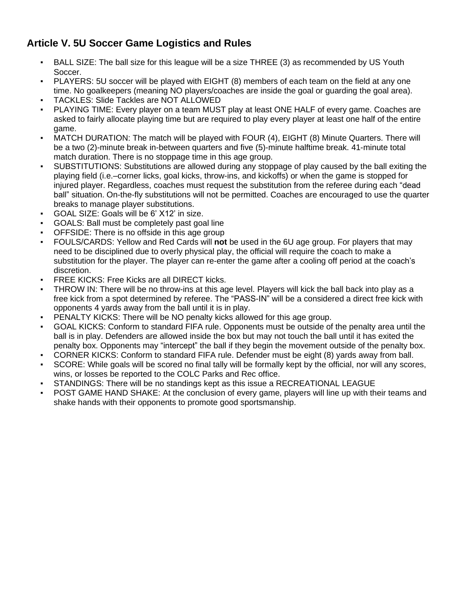## **Article V. 5U Soccer Game Logistics and Rules**

- BALL SIZE: The ball size for this league will be a size THREE (3) as recommended by US Youth Soccer.
- PLAYERS: 5U soccer will be played with EIGHT (8) members of each team on the field at any one time. No goalkeepers (meaning NO players/coaches are inside the goal or guarding the goal area).
- TACKLES: Slide Tackles are NOT ALLOWED
- PLAYING TIME: Every player on a team MUST play at least ONE HALF of every game. Coaches are asked to fairly allocate playing time but are required to play every player at least one half of the entire game.
- MATCH DURATION: The match will be played with FOUR (4), EIGHT (8) Minute Quarters. There will be a two (2)-minute break in-between quarters and five (5)-minute halftime break. 41-minute total match duration. There is no stoppage time in this age group.
- SUBSTITUTIONS: Substitutions are allowed during any stoppage of play caused by the ball exiting the playing field (i.e.–corner licks, goal kicks, throw-ins, and kickoffs) or when the game is stopped for injured player. Regardless, coaches must request the substitution from the referee during each "dead ball" situation. On-the-fly substitutions will not be permitted. Coaches are encouraged to use the quarter breaks to manage player substitutions.
- GOAL SIZE: Goals will be 6' X12' in size.
- GOALS: Ball must be completely past goal line
- OFFSIDE: There is no offside in this age group
- FOULS/CARDS: Yellow and Red Cards will **not** be used in the 6U age group. For players that may need to be disciplined due to overly physical play, the official will require the coach to make a substitution for the player. The player can re-enter the game after a cooling off period at the coach's discretion.
- FREE KICKS: Free Kicks are all DIRECT kicks.
- THROW IN: There will be no throw-ins at this age level. Players will kick the ball back into play as a free kick from a spot determined by referee. The "PASS-IN" will be a considered a direct free kick with opponents 4 yards away from the ball until it is in play.
- PENALTY KICKS: There will be NO penalty kicks allowed for this age group.
- GOAL KICKS: Conform to standard FIFA rule. Opponents must be outside of the penalty area until the ball is in play. Defenders are allowed inside the box but may not touch the ball until it has exited the penalty box. Opponents may "intercept" the ball if they begin the movement outside of the penalty box.
- CORNER KICKS: Conform to standard FIFA rule. Defender must be eight (8) yards away from ball.
- SCORE: While goals will be scored no final tally will be formally kept by the official, nor will any scores, wins, or losses be reported to the COLC Parks and Rec office.
- STANDINGS: There will be no standings kept as this issue a RECREATIONAL LEAGUE
- POST GAME HAND SHAKE: At the conclusion of every game, players will line up with their teams and shake hands with their opponents to promote good sportsmanship.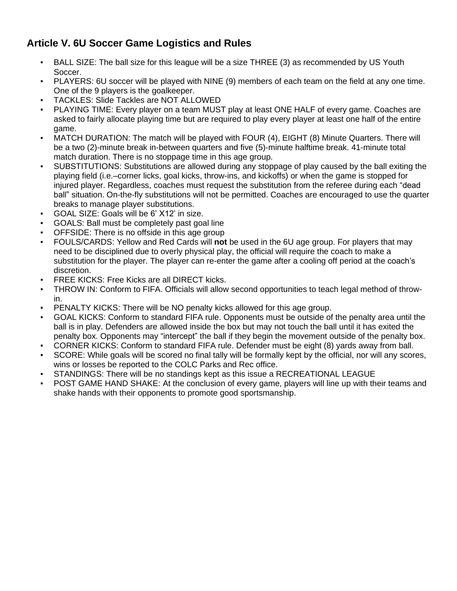## **Article V. 6U Soccer Game Logistics and Rules**

- BALL SIZE: The ball size for this league will be a size THREE (3) as recommended by US Youth Soccer.
- PLAYERS: 6U soccer will be played with NINE (9) members of each team on the field at any one time. One of the 9 players is the goalkeeper.
- TACKLES: Slide Tackles are NOT ALLOWED
- PLAYING TIME: Every player on a team MUST play at least ONE HALF of every game. Coaches are asked to fairly allocate playing time but are required to play every player at least one half of the entire game.
- MATCH DURATION: The match will be played with FOUR (4), EIGHT (8) Minute Quarters. There will be a two (2)-minute break in-between quarters and five (5)-minute halftime break. 41-minute total match duration. There is no stoppage time in this age group.
- SUBSTITUTIONS: Substitutions are allowed during any stoppage of play caused by the ball exiting the playing field (i.e.–corner licks, goal kicks, throw-ins, and kickoffs) or when the game is stopped for injured player. Regardless, coaches must request the substitution from the referee during each "dead ball" situation. On-the-fly substitutions will not be permitted. Coaches are encouraged to use the quarter breaks to manage player substitutions.
- GOAL SIZE: Goals will be 6' X12' in size.
- GOALS: Ball must be completely past goal line
- OFFSIDE: There is no offside in this age group
- FOULS/CARDS: Yellow and Red Cards will **not** be used in the 6U age group. For players that may need to be disciplined due to overly physical play, the official will require the coach to make a substitution for the player. The player can re-enter the game after a cooling off period at the coach's discretion.
- FREE KICKS: Free Kicks are all DIRECT kicks.
- THROW IN: Conform to FIFA. Officials will allow second opportunities to teach legal method of throwin.
- PENALTY KICKS: There will be NO penalty kicks allowed for this age group.
- GOAL KICKS: Conform to standard FIFA rule. Opponents must be outside of the penalty area until the ball is in play. Defenders are allowed inside the box but may not touch the ball until it has exited the penalty box. Opponents may "intercept" the ball if they begin the movement outside of the penalty box.
- CORNER KICKS: Conform to standard FIFA rule. Defender must be eight (8) yards away from ball.
- SCORE: While goals will be scored no final tally will be formally kept by the official, nor will any scores, wins or losses be reported to the COLC Parks and Rec office.
- STANDINGS: There will be no standings kept as this issue a RECREATIONAL LEAGUE
- POST GAME HAND SHAKE: At the conclusion of every game, players will line up with their teams and shake hands with their opponents to promote good sportsmanship.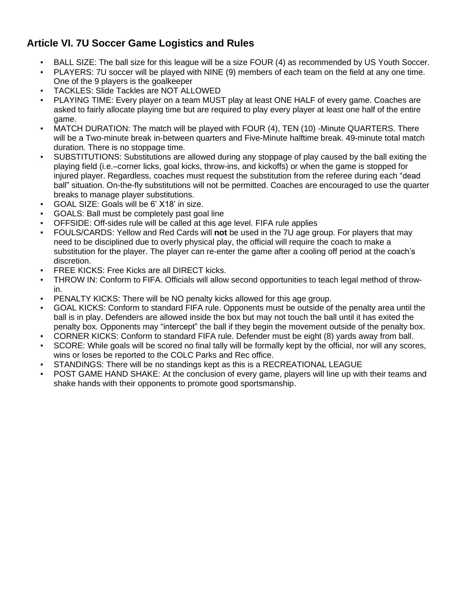#### **Article VI. 7U Soccer Game Logistics and Rules**

- BALL SIZE: The ball size for this league will be a size FOUR (4) as recommended by US Youth Soccer.
- PLAYERS: 7U soccer will be played with NINE (9) members of each team on the field at any one time. One of the 9 players is the goalkeeper
- TACKLES: Slide Tackles are NOT ALLOWED
- PLAYING TIME: Every player on a team MUST play at least ONE HALF of every game. Coaches are asked to fairly allocate playing time but are required to play every player at least one half of the entire game.
- MATCH DURATION: The match will be played with FOUR (4), TEN (10) -Minute QUARTERS. There will be a Two-minute break in-between quarters and Five-Minute halftime break. 49-minute total match duration. There is no stoppage time.
- SUBSTITUTIONS: Substitutions are allowed during any stoppage of play caused by the ball exiting the playing field (i.e.–corner licks, goal kicks, throw-ins, and kickoffs) or when the game is stopped for injured player. Regardless, coaches must request the substitution from the referee during each "dead ball" situation. On-the-fly substitutions will not be permitted. Coaches are encouraged to use the quarter breaks to manage player substitutions.
- GOAL SIZE: Goals will be 6' X18' in size.
- GOALS: Ball must be completely past goal line
- OFFSIDE: Off-sides rule will be called at this age level. FIFA rule applies
- FOULS/CARDS: Yellow and Red Cards will **not** be used in the 7U age group. For players that may need to be disciplined due to overly physical play, the official will require the coach to make a substitution for the player. The player can re-enter the game after a cooling off period at the coach's discretion.
- **FREE KICKS: Free Kicks are all DIRECT kicks.**
- THROW IN: Conform to FIFA. Officials will allow second opportunities to teach legal method of throwin.
- PENALTY KICKS: There will be NO penalty kicks allowed for this age group.
- GOAL KICKS: Conform to standard FIFA rule. Opponents must be outside of the penalty area until the ball is in play. Defenders are allowed inside the box but may not touch the ball until it has exited the penalty box. Opponents may "intercept" the ball if they begin the movement outside of the penalty box.
- CORNER KICKS: Conform to standard FIFA rule. Defender must be eight (8) yards away from ball.
- SCORE: While goals will be scored no final tally will be formally kept by the official, nor will any scores, wins or loses be reported to the COLC Parks and Rec office.
- STANDINGS: There will be no standings kept as this is a RECREATIONAL LEAGUE
- POST GAME HAND SHAKE: At the conclusion of every game, players will line up with their teams and shake hands with their opponents to promote good sportsmanship.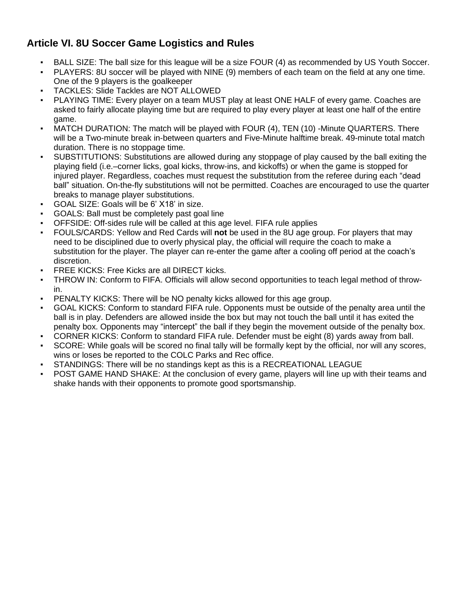#### **Article VI. 8U Soccer Game Logistics and Rules**

- BALL SIZE: The ball size for this league will be a size FOUR (4) as recommended by US Youth Soccer.
- PLAYERS: 8U soccer will be played with NINE (9) members of each team on the field at any one time. One of the 9 players is the goalkeeper
- TACKLES: Slide Tackles are NOT ALLOWED
- PLAYING TIME: Every player on a team MUST play at least ONE HALF of every game. Coaches are asked to fairly allocate playing time but are required to play every player at least one half of the entire game.
- MATCH DURATION: The match will be played with FOUR (4), TEN (10) -Minute QUARTERS. There will be a Two-minute break in-between quarters and Five-Minute halftime break. 49-minute total match duration. There is no stoppage time.
- SUBSTITUTIONS: Substitutions are allowed during any stoppage of play caused by the ball exiting the playing field (i.e.–corner licks, goal kicks, throw-ins, and kickoffs) or when the game is stopped for injured player. Regardless, coaches must request the substitution from the referee during each "dead ball" situation. On-the-fly substitutions will not be permitted. Coaches are encouraged to use the quarter breaks to manage player substitutions.
- GOAL SIZE: Goals will be 6' X18' in size.
- GOALS: Ball must be completely past goal line
- OFFSIDE: Off-sides rule will be called at this age level. FIFA rule applies
- FOULS/CARDS: Yellow and Red Cards will **not** be used in the 8U age group. For players that may need to be disciplined due to overly physical play, the official will require the coach to make a substitution for the player. The player can re-enter the game after a cooling off period at the coach's discretion.
- **FREE KICKS: Free Kicks are all DIRECT kicks.**
- THROW IN: Conform to FIFA. Officials will allow second opportunities to teach legal method of throwin.
- PENALTY KICKS: There will be NO penalty kicks allowed for this age group.
- GOAL KICKS: Conform to standard FIFA rule. Opponents must be outside of the penalty area until the ball is in play. Defenders are allowed inside the box but may not touch the ball until it has exited the penalty box. Opponents may "intercept" the ball if they begin the movement outside of the penalty box.
- CORNER KICKS: Conform to standard FIFA rule. Defender must be eight (8) yards away from ball.
- SCORE: While goals will be scored no final tally will be formally kept by the official, nor will any scores, wins or loses be reported to the COLC Parks and Rec office.
- STANDINGS: There will be no standings kept as this is a RECREATIONAL LEAGUE
- POST GAME HAND SHAKE: At the conclusion of every game, players will line up with their teams and shake hands with their opponents to promote good sportsmanship.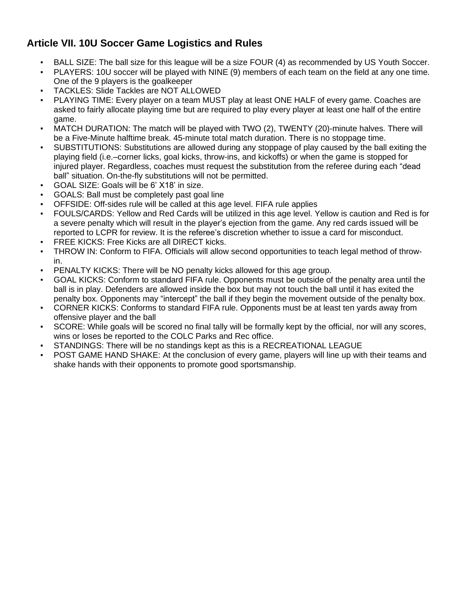#### **Article VII. 10U Soccer Game Logistics and Rules**

- BALL SIZE: The ball size for this league will be a size FOUR (4) as recommended by US Youth Soccer.
- PLAYERS: 10U soccer will be played with NINE (9) members of each team on the field at any one time. One of the 9 players is the goalkeeper
- TACKLES: Slide Tackles are NOT ALLOWED
- PLAYING TIME: Every player on a team MUST play at least ONE HALF of every game. Coaches are asked to fairly allocate playing time but are required to play every player at least one half of the entire game.
- MATCH DURATION: The match will be played with TWO (2), TWENTY (20)-minute halves. There will be a Five-Minute halftime break. 45-minute total match duration. There is no stoppage time.
- SUBSTITUTIONS: Substitutions are allowed during any stoppage of play caused by the ball exiting the playing field (i.e.–corner licks, goal kicks, throw-ins, and kickoffs) or when the game is stopped for injured player. Regardless, coaches must request the substitution from the referee during each "dead ball" situation. On-the-fly substitutions will not be permitted.
- GOAL SIZE: Goals will be 6' X18' in size.
- GOALS: Ball must be completely past goal line
- OFFSIDE: Off-sides rule will be called at this age level. FIFA rule applies
- FOULS/CARDS: Yellow and Red Cards will be utilized in this age level. Yellow is caution and Red is for a severe penalty which will result in the player's ejection from the game. Any red cards issued will be reported to LCPR for review. It is the referee's discretion whether to issue a card for misconduct.
- FREE KICKS: Free Kicks are all DIRECT kicks.
- THROW IN: Conform to FIFA. Officials will allow second opportunities to teach legal method of throwin.
- PENALTY KICKS: There will be NO penalty kicks allowed for this age group.
- GOAL KICKS: Conform to standard FIFA rule. Opponents must be outside of the penalty area until the ball is in play. Defenders are allowed inside the box but may not touch the ball until it has exited the penalty box. Opponents may "intercept" the ball if they begin the movement outside of the penalty box.
- CORNER KICKS: Conforms to standard FIFA rule. Opponents must be at least ten yards away from offensive player and the ball
- SCORE: While goals will be scored no final tally will be formally kept by the official, nor will any scores, wins or loses be reported to the COLC Parks and Rec office.
- STANDINGS: There will be no standings kept as this is a RECREATIONAL LEAGUE
- POST GAME HAND SHAKE: At the conclusion of every game, players will line up with their teams and shake hands with their opponents to promote good sportsmanship.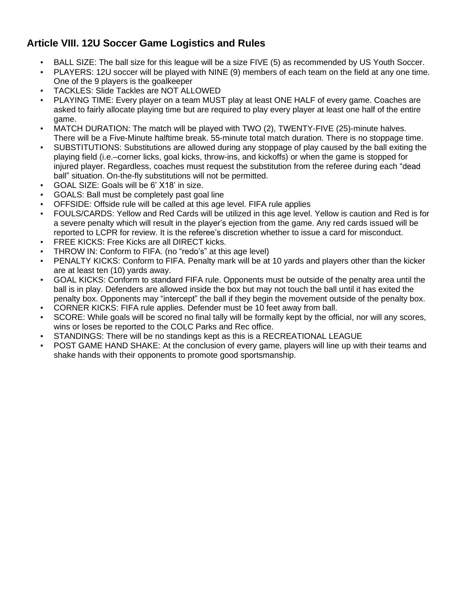#### **Article VIII. 12U Soccer Game Logistics and Rules**

- BALL SIZE: The ball size for this league will be a size FIVE (5) as recommended by US Youth Soccer.
- PLAYERS: 12U soccer will be played with NINE (9) members of each team on the field at any one time. One of the 9 players is the goalkeeper
- TACKLES: Slide Tackles are NOT ALLOWED
- PLAYING TIME: Every player on a team MUST play at least ONE HALF of every game. Coaches are asked to fairly allocate playing time but are required to play every player at least one half of the entire game.
- MATCH DURATION: The match will be played with TWO (2), TWENTY-FIVE (25)-minute halves. There will be a Five-Minute halftime break. 55-minute total match duration. There is no stoppage time.
- SUBSTITUTIONS: Substitutions are allowed during any stoppage of play caused by the ball exiting the playing field (i.e.–corner licks, goal kicks, throw-ins, and kickoffs) or when the game is stopped for injured player. Regardless, coaches must request the substitution from the referee during each "dead ball" situation. On-the-fly substitutions will not be permitted.
- GOAL SIZE: Goals will be 6' X18' in size.
- GOALS: Ball must be completely past goal line
- OFFSIDE: Offside rule will be called at this age level. FIFA rule applies
- FOULS/CARDS: Yellow and Red Cards will be utilized in this age level. Yellow is caution and Red is for a severe penalty which will result in the player's ejection from the game. Any red cards issued will be reported to LCPR for review. It is the referee's discretion whether to issue a card for misconduct.
- FREE KICKS: Free Kicks are all DIRECT kicks.
- THROW IN: Conform to FIFA. (no "redo's" at this age level)
- PENALTY KICKS: Conform to FIFA. Penalty mark will be at 10 yards and players other than the kicker are at least ten (10) yards away.
- GOAL KICKS: Conform to standard FIFA rule. Opponents must be outside of the penalty area until the ball is in play. Defenders are allowed inside the box but may not touch the ball until it has exited the penalty box. Opponents may "intercept" the ball if they begin the movement outside of the penalty box.
- CORNER KICKS: FIFA rule applies. Defender must be 10 feet away from ball.
- SCORE: While goals will be scored no final tally will be formally kept by the official, nor will any scores, wins or loses be reported to the COLC Parks and Rec office.
- STANDINGS: There will be no standings kept as this is a RECREATIONAL LEAGUE
- POST GAME HAND SHAKE: At the conclusion of every game, players will line up with their teams and shake hands with their opponents to promote good sportsmanship.